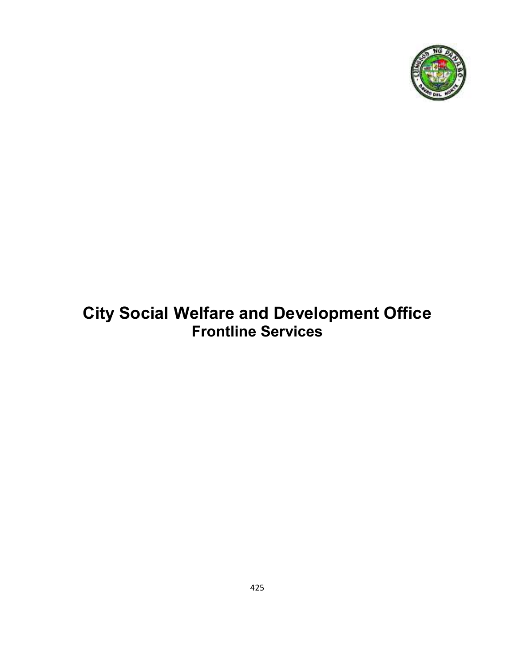

# **City Social Welfare and Development Office Frontline Services**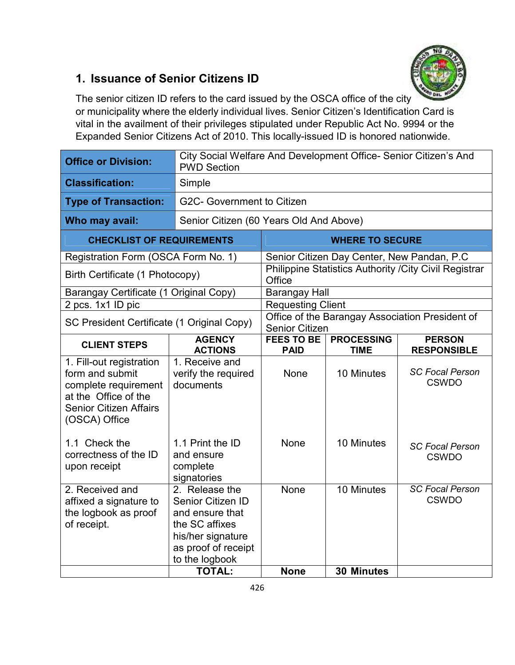### **1. Issuance of Senior Citizens ID**



The senior citizen ID refers to the card issued by the OSCA office of the city or municipality where the elderly individual lives. Senior Citizen's Identification Card is vital in the availment of their privileges stipulated under Republic Act No. 9994 or the Expanded Senior Citizens Act of 2010. This locally-issued ID is honored nationwide.

| <b>Office or Division:</b>                                                                                                                    | City Social Welfare And Development Office- Senior Citizen's And<br><b>PWD Section</b>                                                                  |                                                                          |                                            |                                                        |  |
|-----------------------------------------------------------------------------------------------------------------------------------------------|---------------------------------------------------------------------------------------------------------------------------------------------------------|--------------------------------------------------------------------------|--------------------------------------------|--------------------------------------------------------|--|
| <b>Classification:</b>                                                                                                                        | Simple                                                                                                                                                  |                                                                          |                                            |                                                        |  |
| <b>Type of Transaction:</b>                                                                                                                   |                                                                                                                                                         | G2C- Government to Citizen                                               |                                            |                                                        |  |
| Who may avail:                                                                                                                                |                                                                                                                                                         | Senior Citizen (60 Years Old And Above)                                  |                                            |                                                        |  |
| <b>CHECKLIST OF REQUIREMENTS</b>                                                                                                              |                                                                                                                                                         |                                                                          | <b>WHERE TO SECURE</b>                     |                                                        |  |
| Registration Form (OSCA Form No. 1)                                                                                                           |                                                                                                                                                         |                                                                          | Senior Citizen Day Center, New Pandan, P.C |                                                        |  |
| Birth Certificate (1 Photocopy)                                                                                                               |                                                                                                                                                         | Office                                                                   |                                            | Philippine Statistics Authority / City Civil Registrar |  |
| Barangay Certificate (1 Original Copy)                                                                                                        |                                                                                                                                                         | <b>Barangay Hall</b>                                                     |                                            |                                                        |  |
| $\overline{2}$ pcs. 1x1 ID pic                                                                                                                |                                                                                                                                                         | Requesting Client                                                        |                                            |                                                        |  |
| SC President Certificate (1 Original Copy)                                                                                                    |                                                                                                                                                         | Office of the Barangay Association President of<br><b>Senior Citizen</b> |                                            |                                                        |  |
| <b>CLIENT STEPS</b>                                                                                                                           | <b>AGENCY</b><br><b>ACTIONS</b>                                                                                                                         | <b>FEES TO BE</b><br><b>PAID</b>                                         | <b>PROCESSING</b><br><b>TIME</b>           | <b>PERSON</b><br><b>RESPONSIBLE</b>                    |  |
| 1. Fill-out registration<br>form and submit<br>complete requirement<br>at the Office of the<br><b>Senior Citizen Affairs</b><br>(OSCA) Office | 1. Receive and<br>verify the required<br>documents                                                                                                      | None                                                                     | 10 Minutes                                 | <b>SC Focal Person</b><br><b>CSWDO</b>                 |  |
| 1.1 Check the<br>correctness of the ID<br>upon receipt                                                                                        | 1.1 Print the ID<br>and ensure<br>complete<br>signatories                                                                                               | None                                                                     | 10 Minutes                                 | <b>SC Focal Person</b><br><b>CSWDO</b>                 |  |
| 2. Received and<br>affixed a signature to<br>the logbook as proof<br>of receipt.                                                              | 2. Release the<br>Senior Citizen ID<br>and ensure that<br>the SC affixes<br>his/her signature<br>as proof of receipt<br>to the logbook<br><b>TOTAL:</b> | None<br><b>None</b>                                                      | 10 Minutes<br><b>30 Minutes</b>            | <b>SC Focal Person</b><br><b>CSWDO</b>                 |  |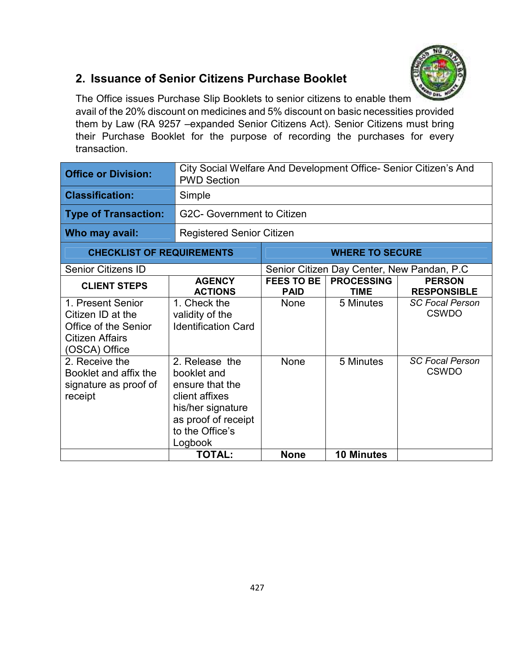

### **2. Issuance of Senior Citizens Purchase Booklet**

The Office issues Purchase Slip Booklets to senior citizens to enable them avail of the 20% discount on medicines and 5% discount on basic necessities provided them by Law (RA 9257 –expanded Senior Citizens Act). Senior Citizens must bring their Purchase Booklet for the purpose of recording the purchases for every transaction.

| <b>Office or Division:</b>                                                                         | <b>PWD Section</b>                                                                                                                           | City Social Welfare And Development Office- Senior Citizen's And |                                  |                                        |  |
|----------------------------------------------------------------------------------------------------|----------------------------------------------------------------------------------------------------------------------------------------------|------------------------------------------------------------------|----------------------------------|----------------------------------------|--|
| <b>Classification:</b>                                                                             | Simple                                                                                                                                       |                                                                  |                                  |                                        |  |
| <b>Type of Transaction:</b>                                                                        |                                                                                                                                              | G2C- Government to Citizen                                       |                                  |                                        |  |
| Who may avail:                                                                                     |                                                                                                                                              | <b>Registered Senior Citizen</b>                                 |                                  |                                        |  |
| <b>CHECKLIST OF REQUIREMENTS</b>                                                                   | <b>WHERE TO SECURE</b>                                                                                                                       |                                                                  |                                  |                                        |  |
| Senior Citizens ID                                                                                 |                                                                                                                                              | Senior Citizen Day Center, New Pandan, P.C.                      |                                  |                                        |  |
| <b>CLIENT STEPS</b>                                                                                | <b>AGENCY</b><br><b>ACTIONS</b>                                                                                                              | <b>FEES TO BE</b><br><b>PAID</b>                                 | <b>PROCESSING</b><br><b>TIME</b> | <b>PERSON</b><br><b>RESPONSIBLE</b>    |  |
| 1. Present Senior<br>Citizen ID at the<br>Office of the Senior<br>Citizen Affairs<br>(OSCA) Office | 1. Check the<br>validity of the<br><b>Identification Card</b>                                                                                | None                                                             | 5 Minutes                        | <b>SC Focal Person</b><br><b>CSWDO</b> |  |
| 2. Receive the<br>Booklet and affix the<br>signature as proof of<br>receipt                        | 2. Release the<br>booklet and<br>ensure that the<br>client affixes<br>his/her signature<br>as proof of receipt<br>to the Office's<br>Logbook | <b>None</b>                                                      | 5 Minutes                        | <b>SC Focal Person</b><br><b>CSWDO</b> |  |
|                                                                                                    | <b>TOTAL:</b>                                                                                                                                | <b>None</b>                                                      | <b>10 Minutes</b>                |                                        |  |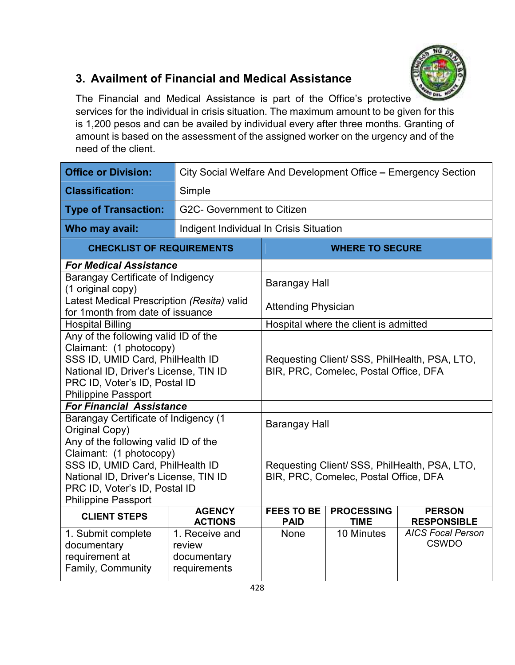

# **3. Availment of Financial and Medical Assistance**

The Financial and Medical Assistance is part of the Office's protective services for the individual in crisis situation. The maximum amount to be given for this is 1,200 pesos and can be availed by individual every after three months. Granting of amount is based on the assessment of the assigned worker on the urgency and of the need of the client.

| <b>Office or Division:</b>                                                                                                                                                                                  | City Social Welfare And Development Office - Emergency Section            |                                                                                       |                                       |                                                                |
|-------------------------------------------------------------------------------------------------------------------------------------------------------------------------------------------------------------|---------------------------------------------------------------------------|---------------------------------------------------------------------------------------|---------------------------------------|----------------------------------------------------------------|
| <b>Classification:</b>                                                                                                                                                                                      | Simple                                                                    |                                                                                       |                                       |                                                                |
| <b>Type of Transaction:</b>                                                                                                                                                                                 | G2C- Government to Citizen                                                |                                                                                       |                                       |                                                                |
| Who may avail:                                                                                                                                                                                              | Indigent Individual In Crisis Situation                                   |                                                                                       |                                       |                                                                |
| <b>CHECKLIST OF REQUIREMENTS</b>                                                                                                                                                                            |                                                                           |                                                                                       | <b>WHERE TO SECURE</b>                |                                                                |
| <b>For Medical Assistance</b>                                                                                                                                                                               |                                                                           |                                                                                       |                                       |                                                                |
| <b>Barangay Certificate of Indigency</b><br>(1 original copy)                                                                                                                                               |                                                                           | <b>Barangay Hall</b>                                                                  |                                       |                                                                |
| Latest Medical Prescription (Resita) valid<br>for 1 month from date of issuance                                                                                                                             |                                                                           | <b>Attending Physician</b>                                                            |                                       |                                                                |
| <b>Hospital Billing</b>                                                                                                                                                                                     |                                                                           |                                                                                       | Hospital where the client is admitted |                                                                |
| Any of the following valid ID of the<br>Claimant: (1 photocopy)<br>SSS ID, UMID Card, PhilHealth ID<br>National ID, Driver's License, TIN ID<br>PRC ID, Voter's ID, Postal ID<br><b>Philippine Passport</b> |                                                                           | Requesting Client/SSS, PhilHealth, PSA, LTO,<br>BIR, PRC, Comelec, Postal Office, DFA |                                       |                                                                |
| <b>For Financial Assistance</b>                                                                                                                                                                             |                                                                           |                                                                                       |                                       |                                                                |
| <b>Barangay Certificate of Indigency (1</b><br>Original Copy)                                                                                                                                               |                                                                           | Barangay Hall                                                                         |                                       |                                                                |
| Any of the following valid ID of the<br>Claimant: (1 photocopy)<br>SSS ID, UMID Card, PhilHealth ID<br>National ID, Driver's License, TIN ID<br>PRC ID, Voter's ID, Postal ID<br><b>Philippine Passport</b> |                                                                           | Requesting Client/SSS, PhilHealth, PSA, LTO,<br>BIR, PRC, Comelec, Postal Office, DFA |                                       |                                                                |
| <b>CLIENT STEPS</b>                                                                                                                                                                                         | <b>AGENCY</b>                                                             | <b>FEES TO BE</b>                                                                     | <b>PROCESSING</b>                     | <b>PERSON</b>                                                  |
| 1. Submit complete<br>documentary<br>requirement at<br>Family, Community                                                                                                                                    | <b>ACTIONS</b><br>1. Receive and<br>review<br>documentary<br>requirements | <b>PAID</b><br><b>None</b>                                                            | <b>TIME</b><br>10 Minutes             | <b>RESPONSIBLE</b><br><b>AICS Focal Person</b><br><b>CSWDO</b> |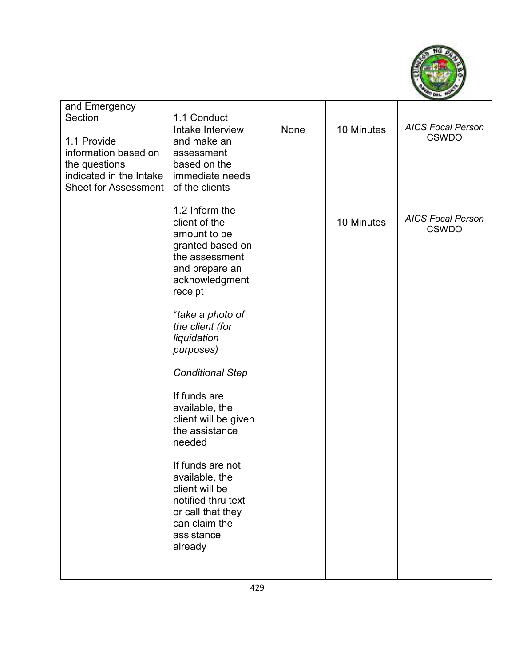

| and Emergency<br>Section<br>1.1 Provide<br>information based on<br>the questions<br>indicated in the Intake<br><b>Sheet for Assessment</b> | 1.1 Conduct<br>Intake Interview<br>and make an<br>assessment<br>based on the<br>immediate needs<br>of the clients                                                                                                                                                                                                                                                                                                                                                     | None | 10 Minutes | <b>AICS Focal Person</b><br><b>CSWDO</b> |
|--------------------------------------------------------------------------------------------------------------------------------------------|-----------------------------------------------------------------------------------------------------------------------------------------------------------------------------------------------------------------------------------------------------------------------------------------------------------------------------------------------------------------------------------------------------------------------------------------------------------------------|------|------------|------------------------------------------|
|                                                                                                                                            | 1.2 Inform the<br>client of the<br>amount to be<br>granted based on<br>the assessment<br>and prepare an<br>acknowledgment<br>receipt<br>*take a photo of<br>the client (for<br>liquidation<br>purposes)<br><b>Conditional Step</b><br>If funds are<br>available, the<br>client will be given<br>the assistance<br>needed<br>If funds are not<br>available, the<br>client will be<br>notified thru text<br>or call that they<br>can claim the<br>assistance<br>already |      | 10 Minutes | <b>AICS Focal Person</b><br><b>CSWDO</b> |
|                                                                                                                                            |                                                                                                                                                                                                                                                                                                                                                                                                                                                                       |      |            |                                          |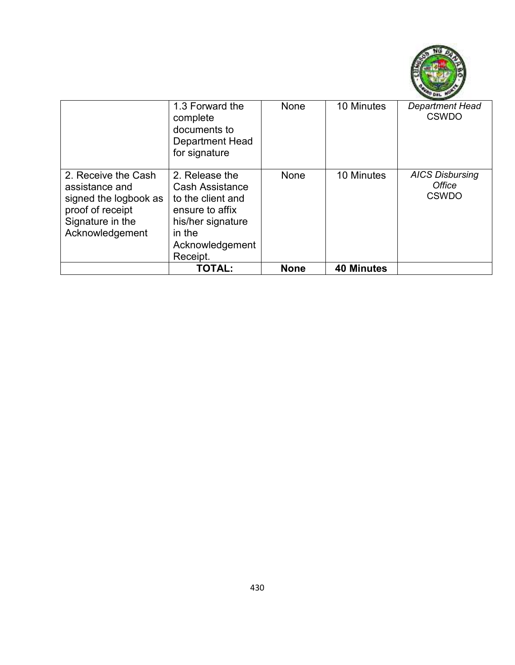

|                                                                                                                           | 1.3 Forward the<br>complete<br>documents to<br><b>Department Head</b><br>for signature                                                         | None        | 10 Minutes        | <b>Department Head</b><br><b>CSWDO</b>           |
|---------------------------------------------------------------------------------------------------------------------------|------------------------------------------------------------------------------------------------------------------------------------------------|-------------|-------------------|--------------------------------------------------|
| 2. Receive the Cash<br>assistance and<br>signed the logbook as<br>proof of receipt<br>Signature in the<br>Acknowledgement | 2. Release the<br><b>Cash Assistance</b><br>to the client and<br>ensure to affix<br>his/her signature<br>in the<br>Acknowledgement<br>Receipt. | None        | 10 Minutes        | <b>AICS Disbursing</b><br>Office<br><b>CSWDO</b> |
|                                                                                                                           | <b>TOTAL:</b>                                                                                                                                  | <b>None</b> | <b>40 Minutes</b> |                                                  |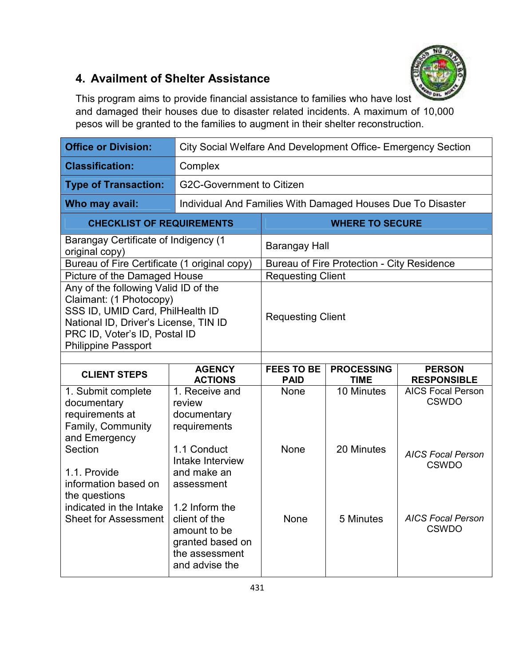

# **4. Availment of Shelter Assistance**

This program aims to provide financial assistance to families who have lost and damaged their houses due to disaster related incidents. A maximum of 10,000 pesos will be granted to the families to augment in their shelter reconstruction.

| <b>Office or Division:</b>                                                                                                                                                                                  | City Social Welfare And Development Office- Emergency Section                  |                                                             |                                                   |                                          |
|-------------------------------------------------------------------------------------------------------------------------------------------------------------------------------------------------------------|--------------------------------------------------------------------------------|-------------------------------------------------------------|---------------------------------------------------|------------------------------------------|
| <b>Classification:</b>                                                                                                                                                                                      | Complex                                                                        |                                                             |                                                   |                                          |
| <b>Type of Transaction:</b>                                                                                                                                                                                 | <b>G2C-Government to Citizen</b>                                               |                                                             |                                                   |                                          |
| Who may avail:                                                                                                                                                                                              |                                                                                | Individual And Families With Damaged Houses Due To Disaster |                                                   |                                          |
| <b>CHECKLIST OF REQUIREMENTS</b>                                                                                                                                                                            |                                                                                |                                                             | <b>WHERE TO SECURE</b>                            |                                          |
| <b>Barangay Certificate of Indigency (1</b><br>original copy)                                                                                                                                               |                                                                                | Barangay Hall                                               |                                                   |                                          |
| Bureau of Fire Certificate (1 original copy)                                                                                                                                                                |                                                                                |                                                             | <b>Bureau of Fire Protection - City Residence</b> |                                          |
| Picture of the Damaged House                                                                                                                                                                                |                                                                                | <b>Requesting Client</b>                                    |                                                   |                                          |
| Any of the following Valid ID of the<br>Claimant: (1 Photocopy)<br>SSS ID, UMID Card, PhilHealth ID<br>National ID, Driver's License, TIN ID<br>PRC ID, Voter's ID, Postal ID<br><b>Philippine Passport</b> |                                                                                | <b>Requesting Client</b>                                    |                                                   |                                          |
|                                                                                                                                                                                                             |                                                                                |                                                             |                                                   |                                          |
| <b>CLIENT STEPS</b>                                                                                                                                                                                         | <b>AGENCY</b><br><b>ACTIONS</b>                                                | <b>FEES TO BE</b><br><b>PAID</b>                            | <b>PROCESSING</b><br><b>TIME</b>                  | <b>PERSON</b><br><b>RESPONSIBLE</b>      |
| 1. Submit complete<br>documentary<br>requirements at<br>Family, Community<br>and Emergency                                                                                                                  | 1. Receive and<br>review<br>documentary<br>requirements                        | None                                                        | 10 Minutes                                        | <b>AICS Focal Person</b><br><b>CSWDO</b> |
|                                                                                                                                                                                                             |                                                                                |                                                             |                                                   |                                          |
| Section<br>1.1. Provide<br>information based on<br>the questions<br>indicated in the Intake                                                                                                                 | 1.1 Conduct<br>Intake Interview<br>and make an<br>assessment<br>1.2 Inform the | None                                                        | 20 Minutes                                        | <b>AICS Focal Person</b><br><b>CSWDO</b> |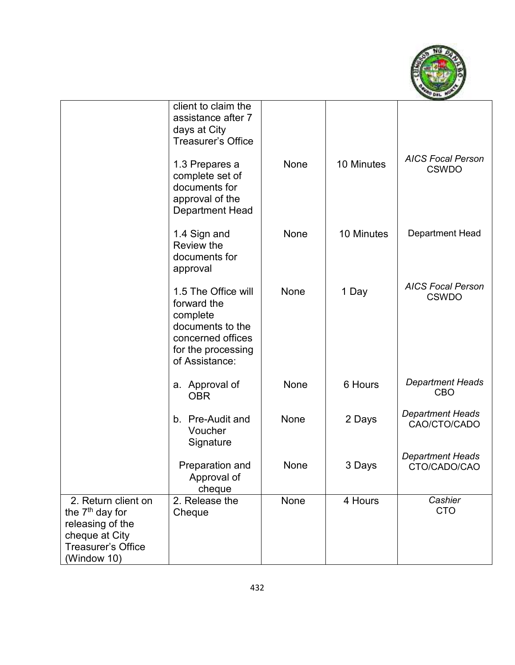

|                                                                                                                                      | client to claim the<br>assistance after 7<br>days at City<br><b>Treasurer's Office</b>                                          |      |            |                                          |
|--------------------------------------------------------------------------------------------------------------------------------------|---------------------------------------------------------------------------------------------------------------------------------|------|------------|------------------------------------------|
|                                                                                                                                      | 1.3 Prepares a<br>complete set of<br>documents for<br>approval of the<br><b>Department Head</b>                                 | None | 10 Minutes | <b>AICS Focal Person</b><br><b>CSWDO</b> |
|                                                                                                                                      | 1.4 Sign and<br>Review the<br>documents for<br>approval                                                                         | None | 10 Minutes | Department Head                          |
|                                                                                                                                      | 1.5 The Office will<br>forward the<br>complete<br>documents to the<br>concerned offices<br>for the processing<br>of Assistance: | None | 1 Day      | <b>AICS Focal Person</b><br><b>CSWDO</b> |
|                                                                                                                                      | a. Approval of<br><b>OBR</b>                                                                                                    | None | 6 Hours    | <b>Department Heads</b><br><b>CBO</b>    |
|                                                                                                                                      | b. Pre-Audit and<br>Voucher<br>Signature                                                                                        | None | 2 Days     | <b>Department Heads</b><br>CAO/CTO/CADO  |
|                                                                                                                                      | Preparation and<br>Approval of<br>cheque                                                                                        | None | 3 Days     | <b>Department Heads</b><br>CTO/CADO/CAO  |
| 2. Return client on<br>the 7 <sup>th</sup> day for<br>releasing of the<br>cheque at City<br><b>Treasurer's Office</b><br>(Window 10) | 2. Release the<br>Cheque                                                                                                        | None | 4 Hours    | Cashier<br><b>CTO</b>                    |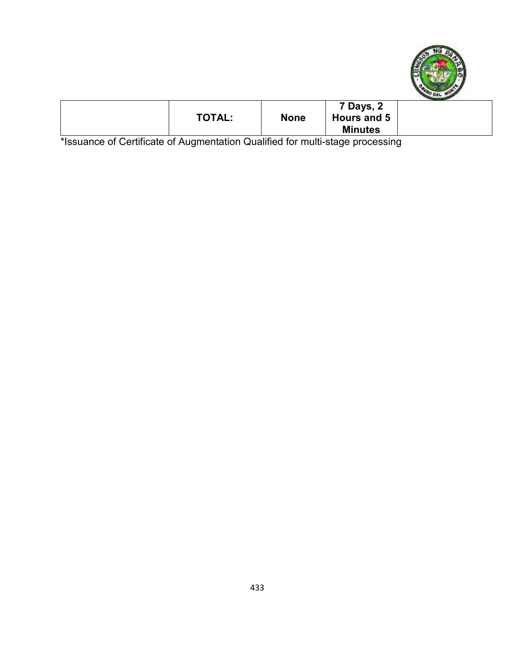

| <b>TOTAL:</b> | <b>None</b> | 7 Days, 2<br>Hours and 5<br><b>Minutes</b> |  |
|---------------|-------------|--------------------------------------------|--|

\*Issuance of Certificate of Augmentation Qualified for multi-stage processing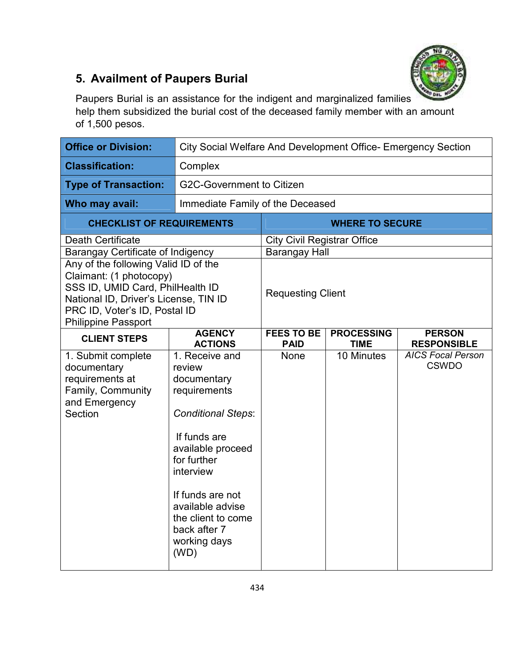

# **5. Availment of Paupers Burial**

Paupers Burial is an assistance for the indigent and marginalized families help them subsidized the burial cost of the deceased family member with an amount of 1,500 pesos.

| <b>Office or Division:</b>                                                                                                                                                                                  | City Social Welfare And Development Office- Emergency Section                                                                                                                                                                                               |                                    |                                  |                                          |
|-------------------------------------------------------------------------------------------------------------------------------------------------------------------------------------------------------------|-------------------------------------------------------------------------------------------------------------------------------------------------------------------------------------------------------------------------------------------------------------|------------------------------------|----------------------------------|------------------------------------------|
| <b>Classification:</b>                                                                                                                                                                                      | Complex                                                                                                                                                                                                                                                     |                                    |                                  |                                          |
| <b>Type of Transaction:</b>                                                                                                                                                                                 | <b>G2C-Government to Citizen</b>                                                                                                                                                                                                                            |                                    |                                  |                                          |
| Who may avail:                                                                                                                                                                                              | Immediate Family of the Deceased                                                                                                                                                                                                                            |                                    |                                  |                                          |
| <b>CHECKLIST OF REQUIREMENTS</b>                                                                                                                                                                            |                                                                                                                                                                                                                                                             |                                    | <b>WHERE TO SECURE</b>           |                                          |
| <b>Death Certificate</b>                                                                                                                                                                                    |                                                                                                                                                                                                                                                             | <b>City Civil Registrar Office</b> |                                  |                                          |
| <b>Barangay Certificate of Indigency</b>                                                                                                                                                                    |                                                                                                                                                                                                                                                             | <b>Barangay Hall</b>               |                                  |                                          |
| Any of the following Valid ID of the<br>Claimant: (1 photocopy)<br>SSS ID, UMID Card, PhilHealth ID<br>National ID, Driver's License, TIN ID<br>PRC ID, Voter's ID, Postal ID<br><b>Philippine Passport</b> |                                                                                                                                                                                                                                                             | <b>Requesting Client</b>           |                                  |                                          |
| <b>CLIENT STEPS</b>                                                                                                                                                                                         | <b>AGENCY</b><br><b>ACTIONS</b>                                                                                                                                                                                                                             | <b>FEES TO BE</b><br><b>PAID</b>   | <b>PROCESSING</b><br><b>TIME</b> | <b>PERSON</b><br><b>RESPONSIBLE</b>      |
| 1. Submit complete<br>documentary<br>requirements at<br>Family, Community<br>and Emergency<br>Section                                                                                                       | 1. Receive and<br>review<br>documentary<br>requirements<br><b>Conditional Steps:</b><br>If funds are<br>available proceed<br>for further<br>interview<br>If funds are not<br>available advise<br>the client to come<br>back after 7<br>working days<br>(WD) | None                               | 10 Minutes                       | <b>AICS Focal Person</b><br><b>CSWDO</b> |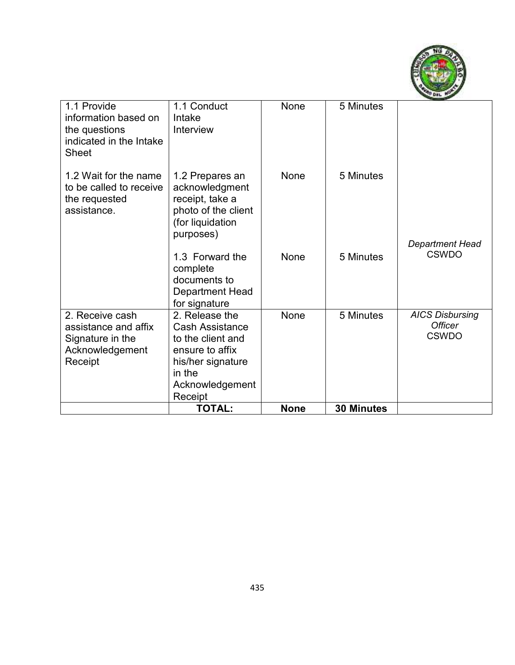

|                                         | <b>TOTAL:</b>              | <b>None</b> | <b>30 Minutes</b> |                        |
|-----------------------------------------|----------------------------|-------------|-------------------|------------------------|
|                                         | Acknowledgement<br>Receipt |             |                   |                        |
|                                         | in the                     |             |                   |                        |
| Receipt                                 | his/her signature          |             |                   |                        |
| Acknowledgement                         | ensure to affix            |             |                   |                        |
| Signature in the                        | to the client and          |             |                   | <b>CSWDO</b>           |
| assistance and affix                    | <b>Cash Assistance</b>     |             |                   | <b>Officer</b>         |
| 2. Receive cash                         | 2. Release the             | None        | 5 Minutes         | <b>AICS Disbursing</b> |
|                                         | for signature              |             |                   |                        |
|                                         | Department Head            |             |                   |                        |
|                                         | documents to               |             |                   |                        |
|                                         | complete                   |             |                   |                        |
|                                         | 1.3 Forward the            | None        | 5 Minutes         | <b>CSWDO</b>           |
|                                         | purposes)                  |             |                   | Department Head        |
|                                         | (for liquidation           |             |                   |                        |
| assistance.                             | photo of the client        |             |                   |                        |
| the requested                           | receipt, take a            |             |                   |                        |
| to be called to receive                 | acknowledgment             |             |                   |                        |
| 1.2 Wait for the name                   | 1.2 Prepares an            | None        | 5 Minutes         |                        |
|                                         |                            |             |                   |                        |
| indicated in the Intake<br><b>Sheet</b> |                            |             |                   |                        |
| the questions                           | Interview                  |             |                   |                        |
| information based on                    | Intake                     |             |                   |                        |
| 1.1 Provide                             | 1.1 Conduct                | None        | 5 Minutes         |                        |
|                                         |                            |             |                   |                        |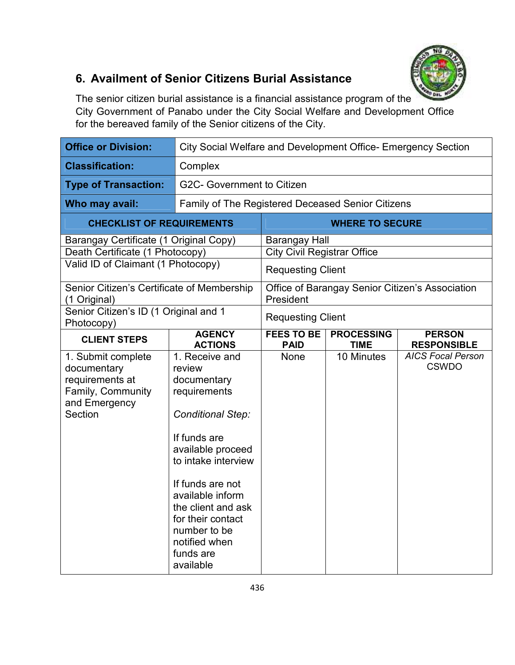

# **6. Availment of Senior Citizens Burial Assistance**

The senior citizen burial assistance is a financial assistance program of the City Government of Panabo under the City Social Welfare and Development Office for the bereaved family of the Senior citizens of the City.

| <b>Office or Division:</b>                                                                            | City Social Welfare and Development Office- Emergency Section                                                                                                                                                                                                                                 |                                    |                                  |                                                 |
|-------------------------------------------------------------------------------------------------------|-----------------------------------------------------------------------------------------------------------------------------------------------------------------------------------------------------------------------------------------------------------------------------------------------|------------------------------------|----------------------------------|-------------------------------------------------|
| <b>Classification:</b>                                                                                | Complex                                                                                                                                                                                                                                                                                       |                                    |                                  |                                                 |
| <b>Type of Transaction:</b>                                                                           | G2C- Government to Citizen                                                                                                                                                                                                                                                                    |                                    |                                  |                                                 |
| Who may avail:                                                                                        | Family of The Registered Deceased Senior Citizens                                                                                                                                                                                                                                             |                                    |                                  |                                                 |
| <b>CHECKLIST OF REQUIREMENTS</b>                                                                      |                                                                                                                                                                                                                                                                                               |                                    | <b>WHERE TO SECURE</b>           |                                                 |
| Barangay Certificate (1 Original Copy)                                                                |                                                                                                                                                                                                                                                                                               | <b>Barangay Hall</b>               |                                  |                                                 |
| Death Certificate (1 Photocopy)                                                                       |                                                                                                                                                                                                                                                                                               | <b>City Civil Registrar Office</b> |                                  |                                                 |
| Valid ID of Claimant (1 Photocopy)                                                                    |                                                                                                                                                                                                                                                                                               | <b>Requesting Client</b>           |                                  |                                                 |
| Senior Citizen's Certificate of Membership<br>(1 Original)                                            |                                                                                                                                                                                                                                                                                               | President                          |                                  | Office of Barangay Senior Citizen's Association |
| Senior Citizen's ID (1 Original and 1<br>Photocopy)                                                   |                                                                                                                                                                                                                                                                                               | <b>Requesting Client</b>           |                                  |                                                 |
| <b>CLIENT STEPS</b>                                                                                   | <b>AGENCY</b><br><b>ACTIONS</b>                                                                                                                                                                                                                                                               | <b>FEES TO BE</b><br><b>PAID</b>   | <b>PROCESSING</b><br><b>TIME</b> | <b>PERSON</b><br><b>RESPONSIBLE</b>             |
| 1. Submit complete<br>documentary<br>requirements at<br>Family, Community<br>and Emergency<br>Section | 1. Receive and<br>review<br>documentary<br>requirements<br><b>Conditional Step:</b><br>If funds are<br>available proceed<br>to intake interview<br>If funds are not<br>available inform<br>the client and ask<br>for their contact<br>number to be<br>notified when<br>funds are<br>available | None                               | 10 Minutes                       | <b>AICS Focal Person</b><br><b>CSWDO</b>        |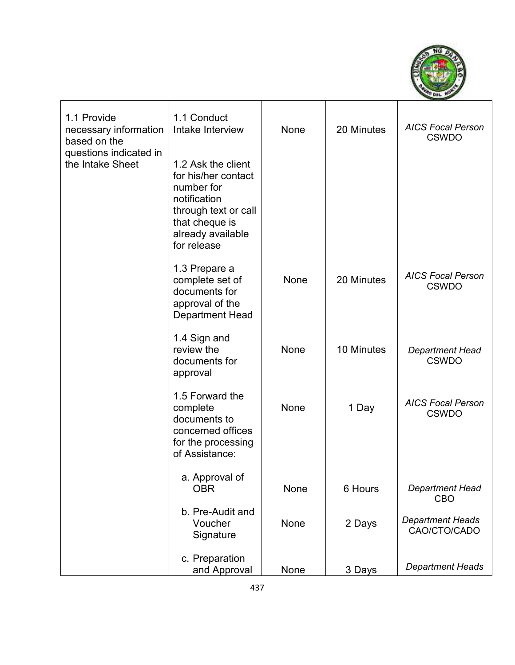

| 1.1 Provide<br>necessary information<br>based on the<br>questions indicated in<br>the Intake Sheet | 1.1 Conduct<br>Intake Interview                                                                                                                       | None | 20 Minutes | <b>AICS Focal Person</b><br><b>CSWDO</b> |
|----------------------------------------------------------------------------------------------------|-------------------------------------------------------------------------------------------------------------------------------------------------------|------|------------|------------------------------------------|
|                                                                                                    | 1.2 Ask the client<br>for his/her contact<br>number for<br>notification<br>through text or call<br>that cheque is<br>already available<br>for release |      |            |                                          |
|                                                                                                    | 1.3 Prepare a<br>complete set of<br>documents for<br>approval of the<br><b>Department Head</b>                                                        | None | 20 Minutes | <b>AICS Focal Person</b><br><b>CSWDO</b> |
|                                                                                                    | 1.4 Sign and<br>review the<br>documents for<br>approval                                                                                               | None | 10 Minutes | <b>Department Head</b><br><b>CSWDO</b>   |
|                                                                                                    | 1.5 Forward the<br>complete<br>documents to<br>concerned offices<br>for the processing<br>of Assistance:                                              | None | 1 Day      | <b>AICS Focal Person</b><br><b>CSWDO</b> |
|                                                                                                    | a. Approval of<br><b>OBR</b>                                                                                                                          | None | 6 Hours    | <b>Department Head</b><br>CBO            |
|                                                                                                    | b. Pre-Audit and<br>Voucher<br>Signature                                                                                                              | None | 2 Days     | <b>Department Heads</b><br>CAO/CTO/CADO  |
|                                                                                                    | c. Preparation<br>and Approval                                                                                                                        | None | 3 Days     | <b>Department Heads</b>                  |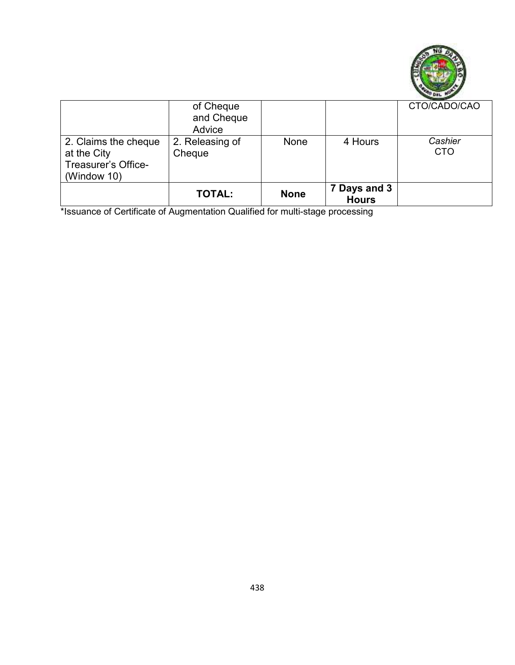

|                                                                           | of Cheque<br>and Cheque<br>Advice |             |                              | CTO/CADO/CAO          |
|---------------------------------------------------------------------------|-----------------------------------|-------------|------------------------------|-----------------------|
| 2. Claims the cheque<br>at the City<br>Treasurer's Office-<br>(Window 10) | 2. Releasing of<br>Cheque         | <b>None</b> | 4 Hours                      | Cashier<br><b>CTO</b> |
|                                                                           | <b>TOTAL:</b>                     | <b>None</b> | 7 Days and 3<br><b>Hours</b> |                       |

\*Issuance of Certificate of Augmentation Qualified for multi-stage processing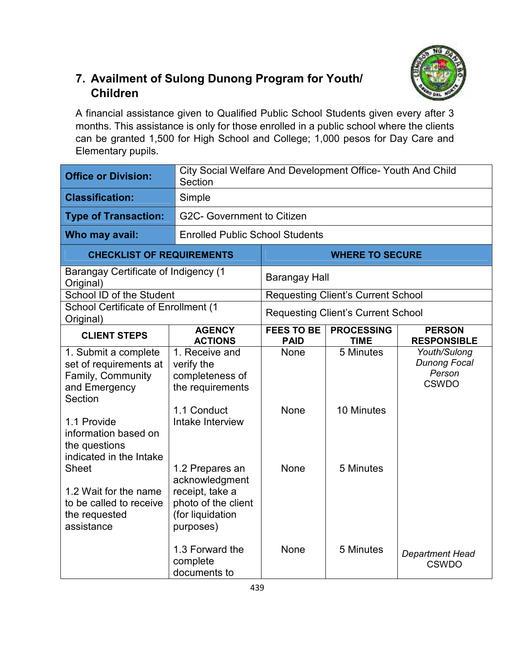### **7. Availment of Sulong Dunong Program for Youth/ Children**

A financial assistance given to Qualified Public School Students given every after 3 months. This assistance is only for those enrolled in a public school where the clients can be granted 1,500 for High School and College; 1,000 pesos for Day Care and Elementary pupils.

| <b>Office or Division:</b>                                                                                                                                                                         | City Social Welfare And Development Office- Youth And Child<br>Section                                                                   |                                  |                                           |                                                               |
|----------------------------------------------------------------------------------------------------------------------------------------------------------------------------------------------------|------------------------------------------------------------------------------------------------------------------------------------------|----------------------------------|-------------------------------------------|---------------------------------------------------------------|
| <b>Classification:</b>                                                                                                                                                                             | Simple                                                                                                                                   |                                  |                                           |                                                               |
| <b>Type of Transaction:</b>                                                                                                                                                                        | G2C- Government to Citizen                                                                                                               |                                  |                                           |                                                               |
| Who may avail:                                                                                                                                                                                     | <b>Enrolled Public School Students</b>                                                                                                   |                                  |                                           |                                                               |
| <b>CHECKLIST OF REQUIREMENTS</b>                                                                                                                                                                   |                                                                                                                                          |                                  | <b>WHERE TO SECURE</b>                    |                                                               |
| <b>Barangay Certificate of Indigency (1</b><br>Original)                                                                                                                                           |                                                                                                                                          | <b>Barangay Hall</b>             |                                           |                                                               |
| School ID of the Student                                                                                                                                                                           |                                                                                                                                          |                                  | <b>Requesting Client's Current School</b> |                                                               |
| <b>School Certificate of Enrollment (1</b><br>Original)                                                                                                                                            |                                                                                                                                          |                                  | <b>Requesting Client's Current School</b> |                                                               |
| <b>CLIENT STEPS</b>                                                                                                                                                                                | <b>AGENCY</b><br><b>ACTIONS</b>                                                                                                          | <b>FEES TO BE</b><br><b>PAID</b> | <b>PROCESSING</b><br><b>TIME</b>          | <b>PERSON</b><br><b>RESPONSIBLE</b>                           |
| 1. Submit a complete<br>set of requirements at<br>Family, Community<br>and Emergency<br>Section<br>1.1 Provide<br>information based on<br>the questions<br>indicated in the Intake<br><b>Sheet</b> | 1. Receive and<br>verify the<br>completeness of<br>the requirements<br>1.1 Conduct<br>Intake Interview<br>1.2 Prepares an                | <b>None</b><br>None<br>None      | 5 Minutes<br>10 Minutes<br>5 Minutes      | Youth/Sulong<br><b>Dunong Focal</b><br>Person<br><b>CSWDO</b> |
| 1.2 Wait for the name<br>to be called to receive<br>the requested<br>assistance                                                                                                                    | acknowledgment<br>receipt, take a<br>photo of the client<br>(for liquidation<br>purposes)<br>1.3 Forward the<br>complete<br>documents to | None                             | 5 Minutes                                 | <b>Department Head</b><br><b>CSWDO</b>                        |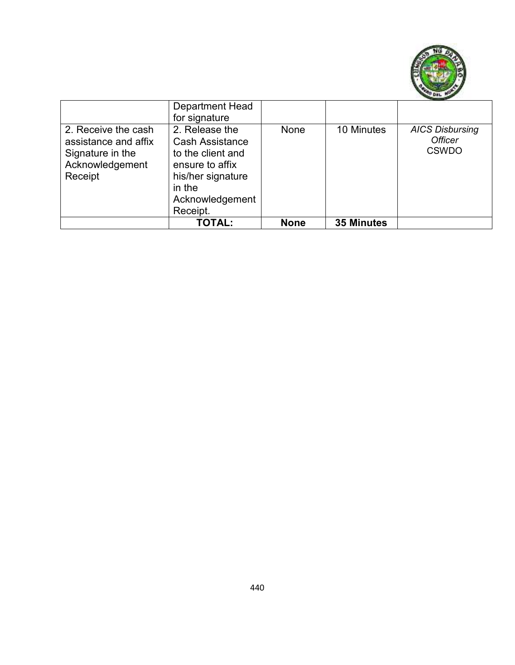

|                                                                                               | Department Head<br>for signature                                                                                                               |             |                   |                                                          |
|-----------------------------------------------------------------------------------------------|------------------------------------------------------------------------------------------------------------------------------------------------|-------------|-------------------|----------------------------------------------------------|
| 2. Receive the cash<br>assistance and affix<br>Signature in the<br>Acknowledgement<br>Receipt | 2. Release the<br><b>Cash Assistance</b><br>to the client and<br>ensure to affix<br>his/her signature<br>in the<br>Acknowledgement<br>Receipt. | None        | 10 Minutes        | <b>AICS Disbursing</b><br><b>Officer</b><br><b>CSWDO</b> |
|                                                                                               | <b>TOTAL:</b>                                                                                                                                  | <b>None</b> | <b>35 Minutes</b> |                                                          |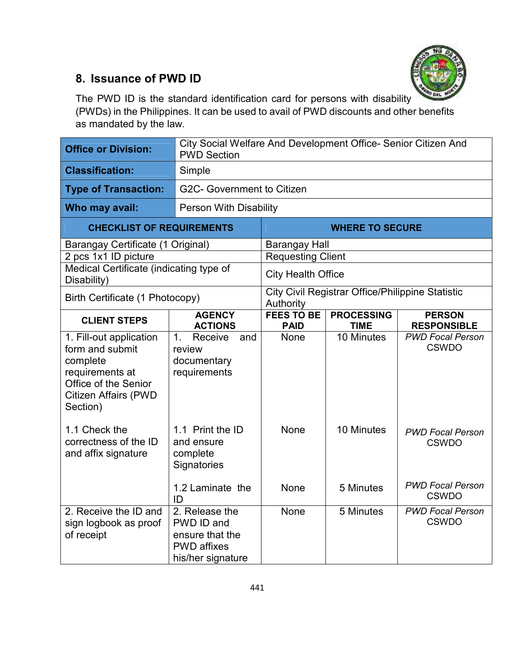

### **8. Issuance of PWD ID**

The PWD ID is the standard identification card for persons with disability (PWDs) in the Philippines. It can be used to avail of PWD discounts and other benefits as mandated by the law.

| <b>Office or Division:</b>                                                                                                                   | City Social Welfare And Development Office- Senior Citizen And<br><b>PWD Section</b>       |                                  |                                                  |                                         |
|----------------------------------------------------------------------------------------------------------------------------------------------|--------------------------------------------------------------------------------------------|----------------------------------|--------------------------------------------------|-----------------------------------------|
| <b>Classification:</b>                                                                                                                       | Simple                                                                                     |                                  |                                                  |                                         |
| <b>Type of Transaction:</b>                                                                                                                  | G2C- Government to Citizen                                                                 |                                  |                                                  |                                         |
| Who may avail:                                                                                                                               |                                                                                            | <b>Person With Disability</b>    |                                                  |                                         |
| <b>CHECKLIST OF REQUIREMENTS</b>                                                                                                             |                                                                                            |                                  | <b>WHERE TO SECURE</b>                           |                                         |
| Barangay Certificate (1 Original)                                                                                                            |                                                                                            | <b>Barangay Hall</b>             |                                                  |                                         |
| 2 pcs 1x1 ID picture                                                                                                                         |                                                                                            | Requesting Client                |                                                  |                                         |
| Medical Certificate (indicating type of<br>Disability)                                                                                       |                                                                                            | <b>City Health Office</b>        |                                                  |                                         |
| Birth Certificate (1 Photocopy)                                                                                                              |                                                                                            | Authority                        | City Civil Registrar Office/Philippine Statistic |                                         |
| <b>CLIENT STEPS</b>                                                                                                                          | <b>AGENCY</b><br><b>ACTIONS</b>                                                            | <b>FEES TO BE</b><br><b>PAID</b> | <b>PROCESSING</b><br><b>TIME</b>                 | <b>PERSON</b><br><b>RESPONSIBLE</b>     |
| 1. Fill-out application<br>form and submit<br>complete<br>requirements at<br>Office of the Senior<br><b>Citizen Affairs (PWD</b><br>Section) | Receive<br>1 <sub>1</sub><br>and<br>review<br>documentary<br>requirements                  | <b>None</b>                      | 10 Minutes                                       | <b>PWD Focal Person</b><br><b>CSWDO</b> |
| 1.1 Check the<br>correctness of the ID<br>and affix signature                                                                                | 1.1 Print the ID<br>and ensure<br>complete<br>Signatories                                  | None                             | 10 Minutes                                       | <b>PWD Focal Person</b><br><b>CSWDO</b> |
|                                                                                                                                              | 1.2 Laminate the<br>ID                                                                     | <b>None</b>                      | 5 Minutes                                        | <b>PWD Focal Person</b><br><b>CSWDO</b> |
| 2. Receive the ID and<br>sign logbook as proof<br>of receipt                                                                                 | 2. Release the<br>PWD ID and<br>ensure that the<br><b>PWD</b> affixes<br>his/her signature | None                             | 5 Minutes                                        | <b>PWD Focal Person</b><br><b>CSWDO</b> |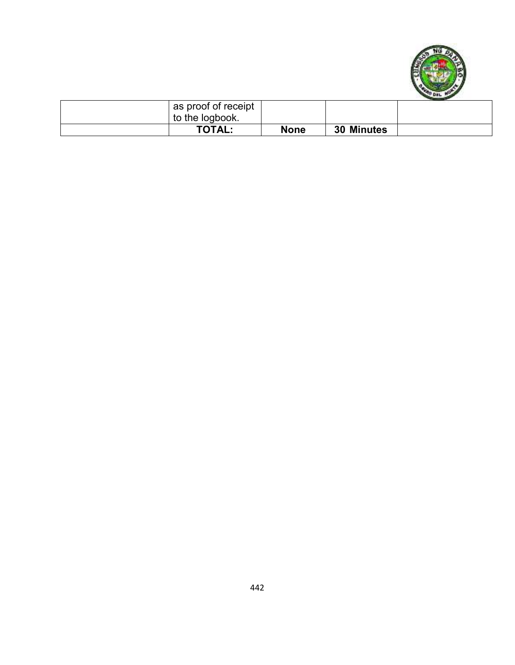

| as proof of receipt<br>to the logbook. |             |                   |  |
|----------------------------------------|-------------|-------------------|--|
| <b>TOTAL:</b>                          | <b>None</b> | <b>30 Minutes</b> |  |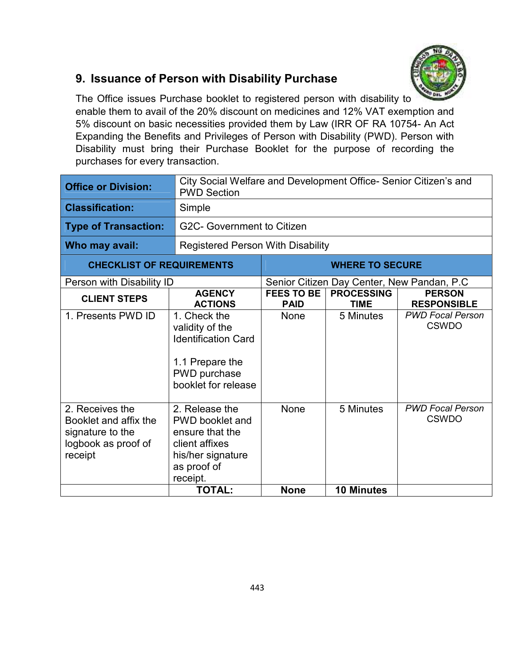

### **9. Issuance of Person with Disability Purchase**

The Office issues Purchase booklet to registered person with disability to enable them to avail of the 20% discount on medicines and 12% VAT exemption and 5% discount on basic necessities provided them by Law (IRR OF RA 10754- An Act Expanding the Benefits and Privileges of Person with Disability (PWD). Person with Disability must bring their Purchase Booklet for the purpose of recording the purchases for every transaction.

| <b>Office or Division:</b>                                                                     | City Social Welfare and Development Office- Senior Citizen's and<br><b>PWD Section</b>                                        |                                          |                                  |                                            |  |
|------------------------------------------------------------------------------------------------|-------------------------------------------------------------------------------------------------------------------------------|------------------------------------------|----------------------------------|--------------------------------------------|--|
| <b>Classification:</b>                                                                         | Simple                                                                                                                        |                                          |                                  |                                            |  |
| <b>Type of Transaction:</b>                                                                    | G2C- Government to Citizen                                                                                                    |                                          |                                  |                                            |  |
| Who may avail:                                                                                 |                                                                                                                               | <b>Registered Person With Disability</b> |                                  |                                            |  |
| <b>CHECKLIST OF REQUIREMENTS</b>                                                               |                                                                                                                               |                                          | <b>WHERE TO SECURE</b>           |                                            |  |
| Person with Disability ID                                                                      |                                                                                                                               |                                          |                                  | Senior Citizen Day Center, New Pandan, P.C |  |
| <b>CLIENT STEPS</b>                                                                            | <b>AGENCY</b><br><b>ACTIONS</b>                                                                                               | <b>FEES TO BE</b><br><b>PAID</b>         | <b>PROCESSING</b><br><b>TIME</b> | <b>PERSON</b><br><b>RESPONSIBLE</b>        |  |
| 1. Presents PWD ID                                                                             | 1. Check the<br>validity of the<br><b>Identification Card</b><br>1.1 Prepare the<br>PWD purchase<br>booklet for release       | None                                     | 5 Minutes                        | <b>PWD Focal Person</b><br><b>CSWDO</b>    |  |
| 2. Receives the<br>Booklet and affix the<br>signature to the<br>logbook as proof of<br>receipt | 2. Release the<br><b>PWD</b> booklet and<br>ensure that the<br>client affixes<br>his/her signature<br>as proof of<br>receipt. | None                                     | 5 Minutes                        | <b>PWD Focal Person</b><br><b>CSWDO</b>    |  |
|                                                                                                | <b>TOTAL:</b>                                                                                                                 | <b>None</b>                              | <b>10 Minutes</b>                |                                            |  |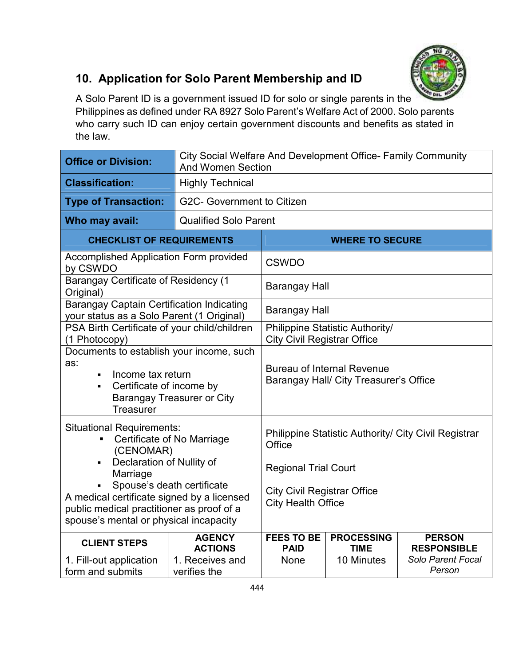

*Person* 

# **10. Application for Solo Parent Membership and ID**

A Solo Parent ID is a government issued ID for solo or single parents in the Philippines as defined under RA 8927 Solo Parent's Welfare Act of 2000. Solo parents who carry such ID can enjoy certain government discounts and benefits as stated in the law.

| <b>Office or Division:</b>                                                                                                                                | City Social Welfare And Development Office- Family Community<br><b>And Women Section</b> |                                                                             |                                    |                                     |
|-----------------------------------------------------------------------------------------------------------------------------------------------------------|------------------------------------------------------------------------------------------|-----------------------------------------------------------------------------|------------------------------------|-------------------------------------|
| <b>Classification:</b>                                                                                                                                    | <b>Highly Technical</b>                                                                  |                                                                             |                                    |                                     |
| <b>Type of Transaction:</b>                                                                                                                               | <b>G2C- Government to Citizen</b>                                                        |                                                                             |                                    |                                     |
| Who may avail:                                                                                                                                            | <b>Qualified Solo Parent</b>                                                             |                                                                             |                                    |                                     |
| <b>CHECKLIST OF REQUIREMENTS</b>                                                                                                                          |                                                                                          | <b>WHERE TO SECURE</b>                                                      |                                    |                                     |
| Accomplished Application Form provided<br>by CSWDO                                                                                                        |                                                                                          | <b>CSWDO</b>                                                                |                                    |                                     |
| <b>Barangay Certificate of Residency (1</b><br>Original)                                                                                                  |                                                                                          | <b>Barangay Hall</b>                                                        |                                    |                                     |
| <b>Barangay Captain Certification Indicating</b><br>your status as a Solo Parent (1 Original)                                                             |                                                                                          | <b>Barangay Hall</b>                                                        |                                    |                                     |
| PSA Birth Certificate of your child/children<br>(1 Photocopy)                                                                                             |                                                                                          | Philippine Statistic Authority/<br><b>City Civil Registrar Office</b>       |                                    |                                     |
| Documents to establish your income, such<br>as:<br>Income tax return<br>Certificate of income by<br><b>Barangay Treasurer or City</b><br><b>Treasurer</b> |                                                                                          | <b>Bureau of Internal Revenue</b><br>Barangay Hall/ City Treasurer's Office |                                    |                                     |
| <b>Situational Requirements:</b><br>Certificate of No Marriage<br>(CENOMAR)                                                                               |                                                                                          | Philippine Statistic Authority/ City Civil Registrar<br>Office              |                                    |                                     |
| Declaration of Nullity of<br>Marriage                                                                                                                     |                                                                                          | <b>Regional Trial Court</b>                                                 |                                    |                                     |
| A medical certificate signed by a licensed<br>public medical practitioner as proof of a<br>spouse's mental or physical incapacity                         | Spouse's death certificate<br><b>City Health Office</b>                                  |                                                                             | <b>City Civil Registrar Office</b> |                                     |
| <b>CLIENT STEPS</b>                                                                                                                                       | <b>AGENCY</b><br><b>ACTIONS</b>                                                          | <b>FEES TO BE</b><br><b>PAID</b>                                            | <b>PROCESSING</b><br><b>TIME</b>   | <b>PERSON</b><br><b>RESPONSIBLE</b> |
| 1. Fill-out application                                                                                                                                   | 1. Receives and                                                                          | None                                                                        | 10 Minutes                         | Solo Parent Focal                   |

verifies the

form and submits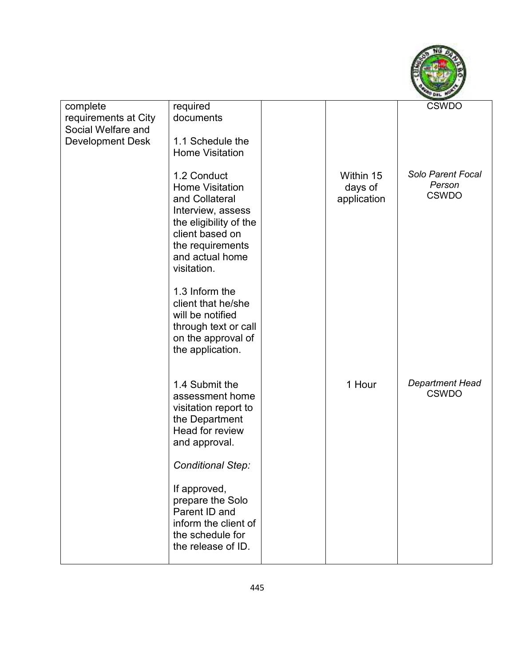

| complete<br>requirements at City<br>Social Welfare and<br><b>Development Desk</b> | required<br>documents<br>1.1 Schedule the<br><b>Home Visitation</b>                                                                                                             |                                     | <b>CSWDO</b>                                |
|-----------------------------------------------------------------------------------|---------------------------------------------------------------------------------------------------------------------------------------------------------------------------------|-------------------------------------|---------------------------------------------|
|                                                                                   | 1.2 Conduct<br><b>Home Visitation</b><br>and Collateral<br>Interview, assess<br>the eligibility of the<br>client based on<br>the requirements<br>and actual home<br>visitation. | Within 15<br>days of<br>application | Solo Parent Focal<br>Person<br><b>CSWDO</b> |
|                                                                                   | 1.3 Inform the<br>client that he/she<br>will be notified<br>through text or call<br>on the approval of<br>the application.                                                      |                                     |                                             |
|                                                                                   | 1.4 Submit the<br>assessment home<br>visitation report to<br>the Department<br>Head for review<br>and approval.                                                                 | 1 Hour                              | <b>Department Head</b><br><b>CSWDO</b>      |
|                                                                                   | <b>Conditional Step:</b>                                                                                                                                                        |                                     |                                             |
|                                                                                   | If approved,<br>prepare the Solo<br>Parent ID and<br>inform the client of<br>the schedule for<br>the release of ID.                                                             |                                     |                                             |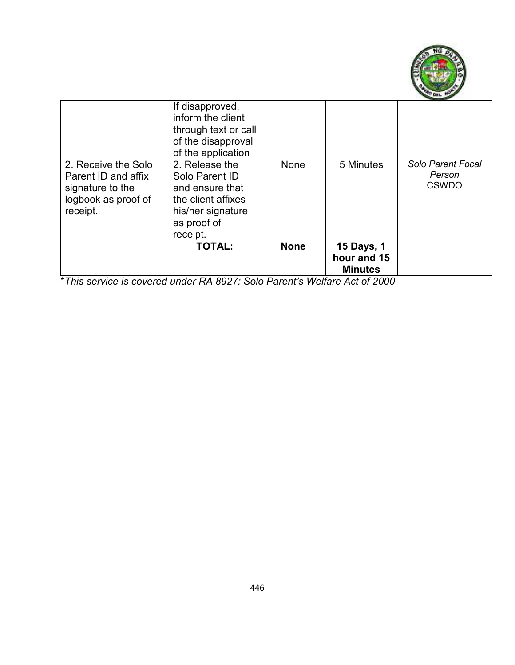

|                                                                                                   | If disapproved,<br>inform the client<br>through text or call<br>of the disapproval<br>of the application                  |             |                                                    |                                             |
|---------------------------------------------------------------------------------------------------|---------------------------------------------------------------------------------------------------------------------------|-------------|----------------------------------------------------|---------------------------------------------|
| 2. Receive the Solo<br>Parent ID and affix<br>signature to the<br>logbook as proof of<br>receipt. | 2. Release the<br>Solo Parent ID<br>and ensure that<br>the client affixes<br>his/her signature<br>as proof of<br>receipt. | None        | 5 Minutes                                          | Solo Parent Focal<br>Person<br><b>CSWDO</b> |
|                                                                                                   | <b>TOTAL:</b>                                                                                                             | <b>None</b> | <b>15 Days, 1</b><br>hour and 15<br><b>Minutes</b> |                                             |

\**This service is covered under RA 8927: Solo Parent's Welfare Act of 2000*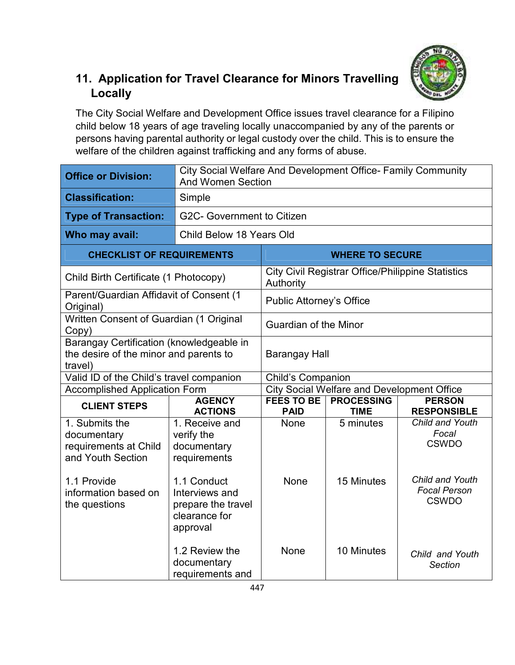

# **11. Application for Travel Clearance for Minors Travelling Locally**

The City Social Welfare and Development Office issues travel clearance for a Filipino child below 18 years of age traveling locally unaccompanied by any of the parents or persons having parental authority or legal custody over the child. This is to ensure the welfare of the children against trafficking and any forms of abuse.

| <b>Office or Division:</b>                                                                                                          |                                                                                                                                     | City Social Welfare And Development Office- Family Community<br><b>And Women Section</b> |                                                          |                                                                                                    |  |
|-------------------------------------------------------------------------------------------------------------------------------------|-------------------------------------------------------------------------------------------------------------------------------------|------------------------------------------------------------------------------------------|----------------------------------------------------------|----------------------------------------------------------------------------------------------------|--|
| <b>Classification:</b>                                                                                                              | Simple                                                                                                                              |                                                                                          |                                                          |                                                                                                    |  |
| <b>Type of Transaction:</b>                                                                                                         | G2C- Government to Citizen                                                                                                          |                                                                                          |                                                          |                                                                                                    |  |
| Who may avail:                                                                                                                      | Child Below 18 Years Old                                                                                                            |                                                                                          |                                                          |                                                                                                    |  |
| <b>CHECKLIST OF REQUIREMENTS</b>                                                                                                    |                                                                                                                                     |                                                                                          | <b>WHERE TO SECURE</b>                                   |                                                                                                    |  |
| Child Birth Certificate (1 Photocopy)                                                                                               |                                                                                                                                     | Authority                                                                                | <b>City Civil Registrar Office/Philippine Statistics</b> |                                                                                                    |  |
| Parent/Guardian Affidavit of Consent (1<br>Original)                                                                                |                                                                                                                                     | <b>Public Attorney's Office</b>                                                          |                                                          |                                                                                                    |  |
| Written Consent of Guardian (1 Original<br>Copy)                                                                                    |                                                                                                                                     | <b>Guardian of the Minor</b>                                                             |                                                          |                                                                                                    |  |
| Barangay Certification (knowledgeable in<br>the desire of the minor and parents to<br>travel)                                       |                                                                                                                                     | <b>Barangay Hall</b>                                                                     |                                                          |                                                                                                    |  |
| Valid ID of the Child's travel companion                                                                                            |                                                                                                                                     | <b>Child's Companion</b>                                                                 |                                                          |                                                                                                    |  |
| <b>Accomplished Application Form</b>                                                                                                |                                                                                                                                     | <b>City Social Welfare and Development Office</b>                                        |                                                          |                                                                                                    |  |
| <b>CLIENT STEPS</b>                                                                                                                 | <b>AGENCY</b><br><b>ACTIONS</b>                                                                                                     | <b>FEES TO BE</b><br><b>PAID</b>                                                         | <b>PROCESSING</b><br><b>TIME</b>                         | <b>PERSON</b><br><b>RESPONSIBLE</b>                                                                |  |
| 1. Submits the<br>documentary<br>requirements at Child<br>and Youth Section<br>1.1 Provide<br>information based on<br>the questions | 1. Receive and<br>verify the<br>documentary<br>requirements<br>1.1 Conduct<br>Interviews and<br>prepare the travel<br>clearance for | <b>None</b><br><b>None</b>                                                               | $\overline{5}$ minutes<br>15 Minutes                     | Child and Youth<br>Focal<br><b>CSWDO</b><br>Child and Youth<br><b>Focal Person</b><br><b>CSWDO</b> |  |
|                                                                                                                                     | approval<br>1.2 Review the<br>documentary<br>requirements and                                                                       | None                                                                                     | 10 Minutes                                               | Child and Youth<br><b>Section</b>                                                                  |  |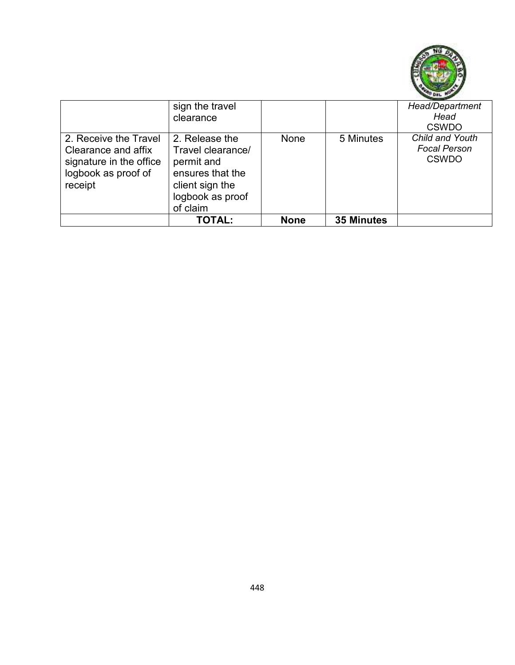

|                                                                                                           | sign the travel<br>clearance                                                                                             |             |                   | Head/Department<br>Head<br><b>CSWDO</b>                |
|-----------------------------------------------------------------------------------------------------------|--------------------------------------------------------------------------------------------------------------------------|-------------|-------------------|--------------------------------------------------------|
| 2. Receive the Travel<br>Clearance and affix<br>signature in the office<br>logbook as proof of<br>receipt | 2. Release the<br>Travel clearance/<br>permit and<br>ensures that the<br>client sign the<br>logbook as proof<br>of claim | None        | 5 Minutes         | Child and Youth<br><b>Focal Person</b><br><b>CSWDO</b> |
|                                                                                                           | <b>TOTAL:</b>                                                                                                            | <b>None</b> | <b>35 Minutes</b> |                                                        |